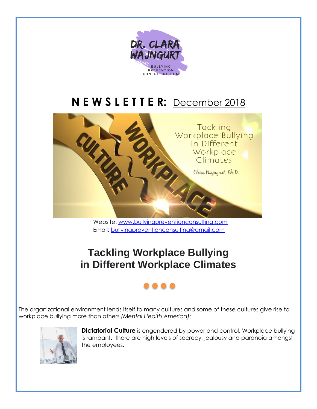

## **N E W S L E T T E R:** December 2018



Website: [www.bullyingpreventionconsulting.com](http://www.bullyingpreventionconsulting.com/) Email: [bullyingpreventionconsulting@gmail.com](mailto:bullyingpreventionconsulting@gmail.com)

## **Tackling Workplace Bullying in Different Workplace Climates**

## . . .

The organizational environment lends itself to many cultures and some of these cultures give rise to workplace bullying more than others *(Mental Health America)*:



**Dictatorial Culture** is engendered by power and control. Workplace bullying is rampant. there are high levels of secrecy, jealousy and paranoia amongst the employees.